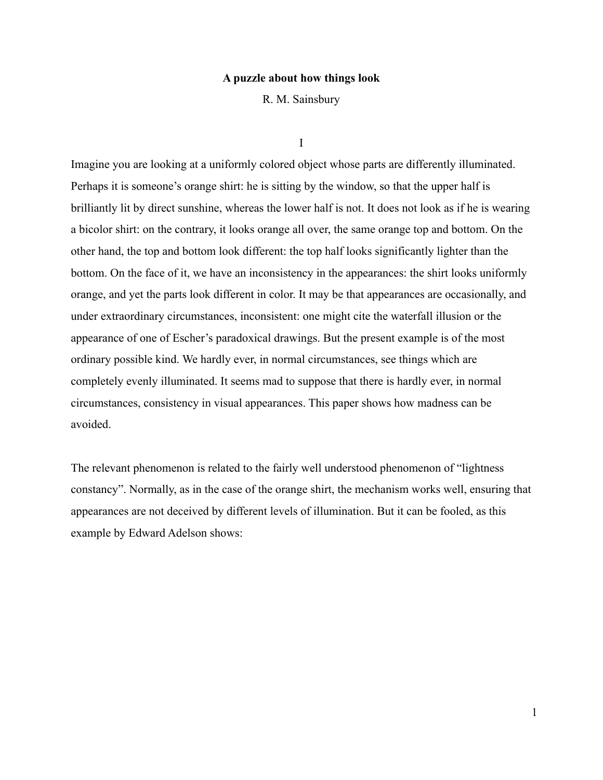## **A puzzle about how things look**

R. M. Sainsbury

I

Imagine you are looking at a uniformly colored object whose parts are differently illuminated. Perhaps it is someone's orange shirt: he is sitting by the window, so that the upper half is brilliantly lit by direct sunshine, whereas the lower half is not. It does not look as if he is wearing a bicolor shirt: on the contrary, it looks orange all over, the same orange top and bottom. On the other hand, the top and bottom look different: the top half looks significantly lighter than the bottom. On the face of it, we have an inconsistency in the appearances: the shirt looks uniformly orange, and yet the parts look different in color. It may be that appearances are occasionally, and under extraordinary circumstances, inconsistent: one might cite the waterfall illusion or the appearance of one of Escher's paradoxical drawings. But the present example is of the most ordinary possible kind. We hardly ever, in normal circumstances, see things which are completely evenly illuminated. It seems mad to suppose that there is hardly ever, in normal circumstances, consistency in visual appearances. This paper shows how madness can be avoided.

The relevant phenomenon is related to the fairly well understood phenomenon of "lightness constancy". Normally, as in the case of the orange shirt, the mechanism works well, ensuring that appearances are not deceived by different levels of illumination. But it can be fooled, as this example by Edward Adelson shows:

1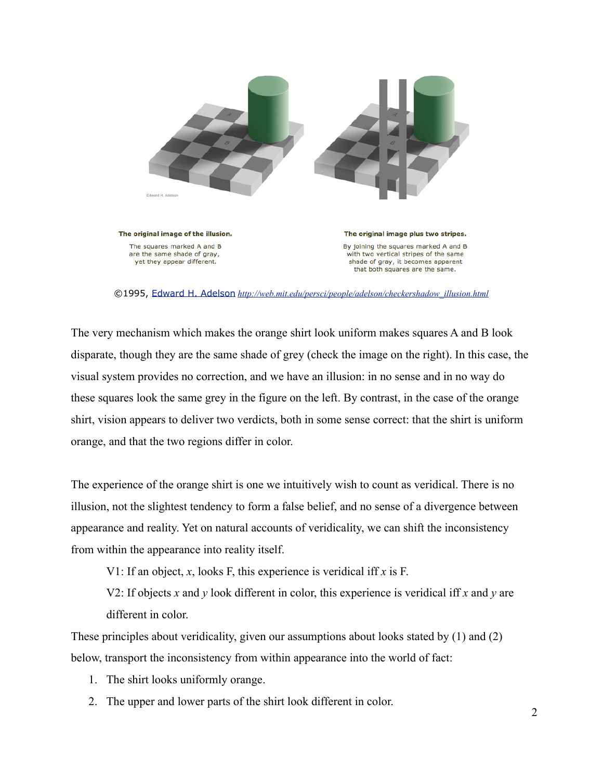

©1995, [Edward H. Adelson](http://web.mit.edu/persci/people/adelson/index.html) *[http://web.mit.edu/persci/people/adelson/checkershadow\\_illusion.html](http://web.mit.edu/persci/people/adelson/checkershadow_illusion.html)*

The very mechanism which makes the orange shirt look uniform makes squares A and B look disparate, though they are the same shade of grey (check the image on the right). In this case, the visual system provides no correction, and we have an illusion: in no sense and in no way do these squares look the same grey in the figure on the left. By contrast, in the case of the orange shirt, vision appears to deliver two verdicts, both in some sense correct: that the shirt is uniform orange, and that the two regions differ in color.

The experience of the orange shirt is one we intuitively wish to count as veridical. There is no illusion, not the slightest tendency to form a false belief, and no sense of a divergence between appearance and reality. Yet on natural accounts of veridicality, we can shift the inconsistency from within the appearance into reality itself.

V1: If an object, *x*, looks F, this experience is veridical iff *x* is F.

V2: If objects *x* and *y* look different in color, this experience is veridical iff *x* and *y* are different in color.

These principles about veridicality, given our assumptions about looks stated by (1) and (2) below, transport the inconsistency from within appearance into the world of fact:

- 1. The shirt looks uniformly orange.
- 2. The upper and lower parts of the shirt look different in color.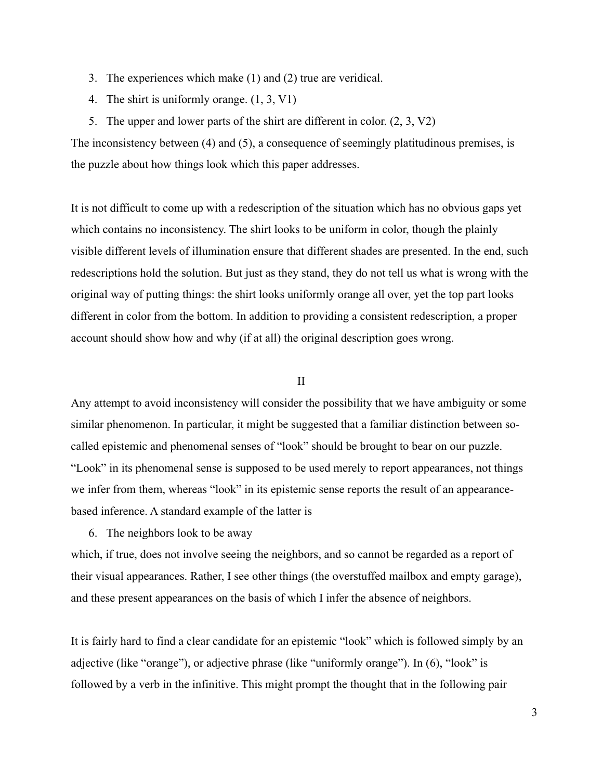- 3. The experiences which make (1) and (2) true are veridical.
- 4. The shirt is uniformly orange. (1, 3, V1)
- 5. The upper and lower parts of the shirt are different in color. (2, 3, V2)

The inconsistency between (4) and (5), a consequence of seemingly platitudinous premises, is the puzzle about how things look which this paper addresses.

It is not difficult to come up with a redescription of the situation which has no obvious gaps yet which contains no inconsistency. The shirt looks to be uniform in color, though the plainly visible different levels of illumination ensure that different shades are presented. In the end, such redescriptions hold the solution. But just as they stand, they do not tell us what is wrong with the original way of putting things: the shirt looks uniformly orange all over, yet the top part looks different in color from the bottom. In addition to providing a consistent redescription, a proper account should show how and why (if at all) the original description goes wrong.

## II

Any attempt to avoid inconsistency will consider the possibility that we have ambiguity or some similar phenomenon. In particular, it might be suggested that a familiar distinction between socalled epistemic and phenomenal senses of "look" should be brought to bear on our puzzle. "Look" in its phenomenal sense is supposed to be used merely to report appearances, not things we infer from them, whereas "look" in its epistemic sense reports the result of an appearancebased inference. A standard example of the latter is

6. The neighbors look to be away

which, if true, does not involve seeing the neighbors, and so cannot be regarded as a report of their visual appearances. Rather, I see other things (the overstuffed mailbox and empty garage), and these present appearances on the basis of which I infer the absence of neighbors.

It is fairly hard to find a clear candidate for an epistemic "look" which is followed simply by an adjective (like "orange"), or adjective phrase (like "uniformly orange"). In (6), "look" is followed by a verb in the infinitive. This might prompt the thought that in the following pair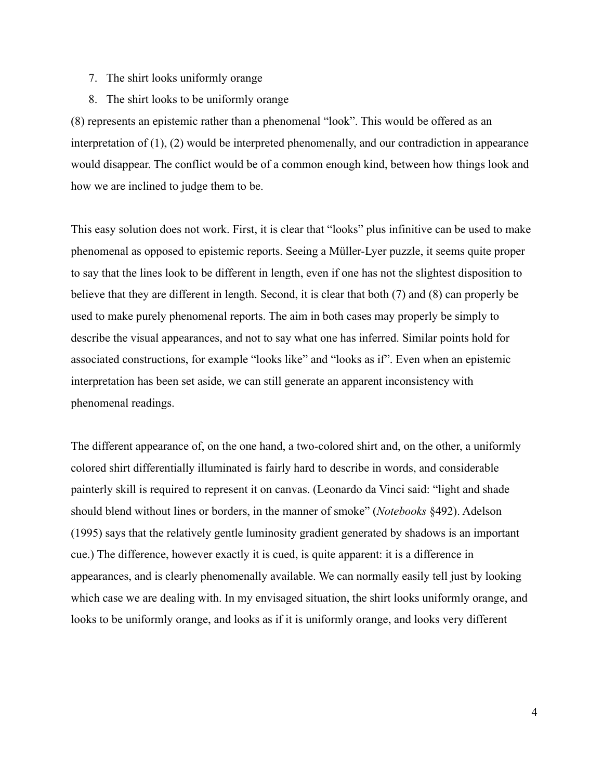- 7. The shirt looks uniformly orange
- 8. The shirt looks to be uniformly orange

(8) represents an epistemic rather than a phenomenal "look". This would be offered as an interpretation of (1), (2) would be interpreted phenomenally, and our contradiction in appearance would disappear. The conflict would be of a common enough kind, between how things look and how we are inclined to judge them to be.

This easy solution does not work. First, it is clear that "looks" plus infinitive can be used to make phenomenal as opposed to epistemic reports. Seeing a Müller-Lyer puzzle, it seems quite proper to say that the lines look to be different in length, even if one has not the slightest disposition to believe that they are different in length. Second, it is clear that both (7) and (8) can properly be used to make purely phenomenal reports. The aim in both cases may properly be simply to describe the visual appearances, and not to say what one has inferred. Similar points hold for associated constructions, for example "looks like" and "looks as if". Even when an epistemic interpretation has been set aside, we can still generate an apparent inconsistency with phenomenal readings.

The different appearance of, on the one hand, a two-colored shirt and, on the other, a uniformly colored shirt differentially illuminated is fairly hard to describe in words, and considerable painterly skill is required to represent it on canvas. (Leonardo da Vinci said: "light and shade should blend without lines or borders, in the manner of smoke" (*Notebooks* §492). Adelson (1995) says that the relatively gentle luminosity gradient generated by shadows is an important cue.) The difference, however exactly it is cued, is quite apparent: it is a difference in appearances, and is clearly phenomenally available. We can normally easily tell just by looking which case we are dealing with. In my envisaged situation, the shirt looks uniformly orange, and looks to be uniformly orange, and looks as if it is uniformly orange, and looks very different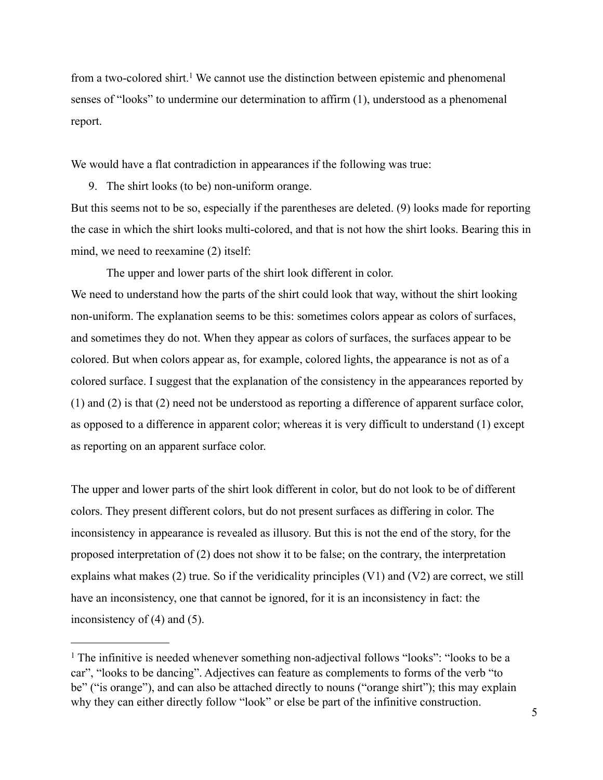from a two-colored shirt.<sup>[1](#page-4-0)</sup> We cannot use the distinction between epistemic and phenomenal senses of "looks" to undermine our determination to affirm (1), understood as a phenomenal report.

We would have a flat contradiction in appearances if the following was true:

9. The shirt looks (to be) non-uniform orange.

But this seems not to be so, especially if the parentheses are deleted. (9) looks made for reporting the case in which the shirt looks multi-colored, and that is not how the shirt looks. Bearing this in mind, we need to reexamine (2) itself:

The upper and lower parts of the shirt look different in color.

We need to understand how the parts of the shirt could look that way, without the shirt looking non-uniform. The explanation seems to be this: sometimes colors appear as colors of surfaces, and sometimes they do not. When they appear as colors of surfaces, the surfaces appear to be colored. But when colors appear as, for example, colored lights, the appearance is not as of a colored surface. I suggest that the explanation of the consistency in the appearances reported by (1) and (2) is that (2) need not be understood as reporting a difference of apparent surface color, as opposed to a difference in apparent color; whereas it is very difficult to understand (1) except as reporting on an apparent surface color.

The upper and lower parts of the shirt look different in color, but do not look to be of different colors. They present different colors, but do not present surfaces as differing in color. The inconsistency in appearance is revealed as illusory. But this is not the end of the story, for the proposed interpretation of (2) does not show it to be false; on the contrary, the interpretation explains what makes (2) true. So if the veridicality principles (V1) and (V2) are correct, we still have an inconsistency, one that cannot be ignored, for it is an inconsistency in fact: the inconsistency of (4) and (5).

<span id="page-4-0"></span><sup>&</sup>lt;sup>1</sup> The infinitive is needed whenever something non-adjectival follows "looks": "looks to be a car", "looks to be dancing". Adjectives can feature as complements to forms of the verb "to be" ("is orange"), and can also be attached directly to nouns ("orange shirt"); this may explain why they can either directly follow "look" or else be part of the infinitive construction.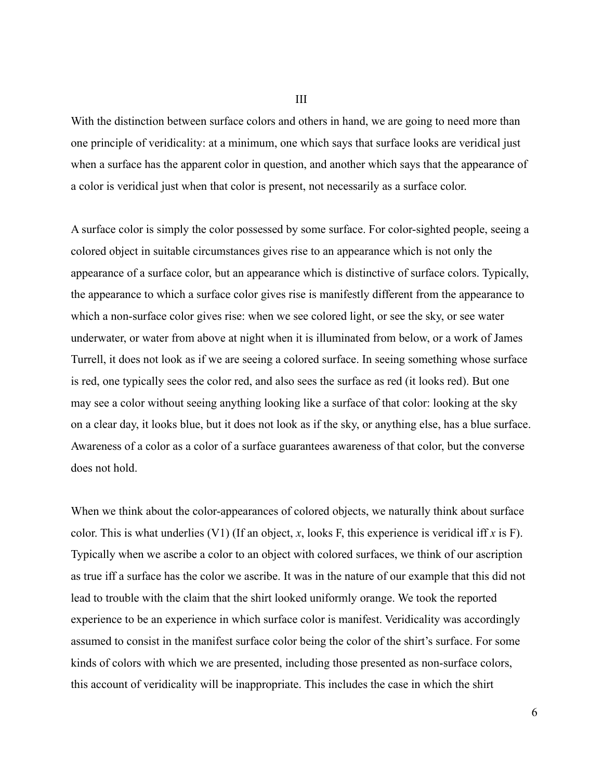III

With the distinction between surface colors and others in hand, we are going to need more than one principle of veridicality: at a minimum, one which says that surface looks are veridical just when a surface has the apparent color in question, and another which says that the appearance of a color is veridical just when that color is present, not necessarily as a surface color.

A surface color is simply the color possessed by some surface. For color-sighted people, seeing a colored object in suitable circumstances gives rise to an appearance which is not only the appearance of a surface color, but an appearance which is distinctive of surface colors. Typically, the appearance to which a surface color gives rise is manifestly different from the appearance to which a non-surface color gives rise: when we see colored light, or see the sky, or see water underwater, or water from above at night when it is illuminated from below, or a work of James Turrell, it does not look as if we are seeing a colored surface. In seeing something whose surface is red, one typically sees the color red, and also sees the surface as red (it looks red). But one may see a color without seeing anything looking like a surface of that color: looking at the sky on a clear day, it looks blue, but it does not look as if the sky, or anything else, has a blue surface. Awareness of a color as a color of a surface guarantees awareness of that color, but the converse does not hold.

When we think about the color-appearances of colored objects, we naturally think about surface color. This is what underlies (V1) (If an object, *x*, looks F, this experience is veridical iff *x* is F). Typically when we ascribe a color to an object with colored surfaces, we think of our ascription as true iff a surface has the color we ascribe. It was in the nature of our example that this did not lead to trouble with the claim that the shirt looked uniformly orange. We took the reported experience to be an experience in which surface color is manifest. Veridicality was accordingly assumed to consist in the manifest surface color being the color of the shirt's surface. For some kinds of colors with which we are presented, including those presented as non-surface colors, this account of veridicality will be inappropriate. This includes the case in which the shirt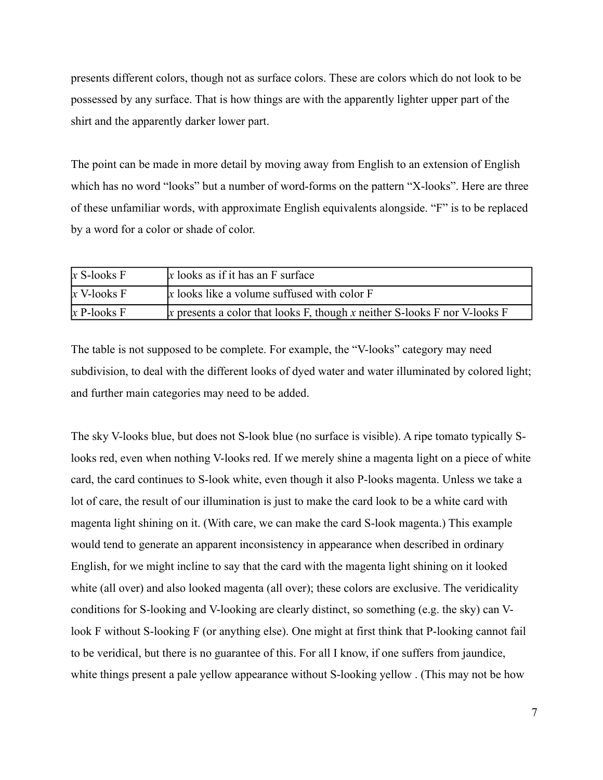presents different colors, though not as surface colors. These are colors which do not look to be possessed by any surface. That is how things are with the apparently lighter upper part of the shirt and the apparently darker lower part.

The point can be made in more detail by moving away from English to an extension of English which has no word "looks" but a number of word-forms on the pattern "X-looks". Here are three of these unfamiliar words, with approximate English equivalents alongside. "F" is to be replaced by a word for a color or shade of color.

| $x$ S-looks F | $x$ looks as if it has an $F$ surface                                        |
|---------------|------------------------------------------------------------------------------|
| $x$ V-looks F | $x$ looks like a volume suffused with color $F$                              |
| $x$ P-looks F | $ x$ presents a color that looks F, though x neither S-looks F nor V-looks F |

The table is not supposed to be complete. For example, the "V-looks" category may need subdivision, to deal with the different looks of dyed water and water illuminated by colored light; and further main categories may need to be added.

The sky V-looks blue, but does not S-look blue (no surface is visible). A ripe tomato typically Slooks red, even when nothing V-looks red. If we merely shine a magenta light on a piece of white card, the card continues to S-look white, even though it also P-looks magenta. Unless we take a lot of care, the result of our illumination is just to make the card look to be a white card with magenta light shining on it. (With care, we can make the card S-look magenta.) This example would tend to generate an apparent inconsistency in appearance when described in ordinary English, for we might incline to say that the card with the magenta light shining on it looked white (all over) and also looked magenta (all over); these colors are exclusive. The veridicality conditions for S-looking and V-looking are clearly distinct, so something (e.g. the sky) can Vlook F without S-looking F (or anything else). One might at first think that P-looking cannot fail to be veridical, but there is no guarantee of this. For all I know, if one suffers from jaundice, white things present a pale yellow appearance without S-looking yellow. (This may not be how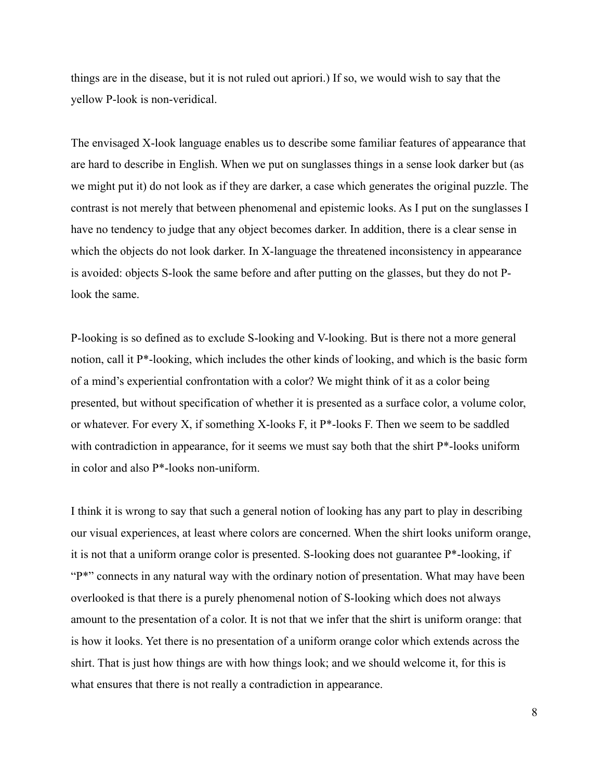things are in the disease, but it is not ruled out apriori.) If so, we would wish to say that the yellow P-look is non-veridical.

The envisaged X-look language enables us to describe some familiar features of appearance that are hard to describe in English. When we put on sunglasses things in a sense look darker but (as we might put it) do not look as if they are darker, a case which generates the original puzzle. The contrast is not merely that between phenomenal and epistemic looks. As I put on the sunglasses I have no tendency to judge that any object becomes darker. In addition, there is a clear sense in which the objects do not look darker. In X-language the threatened inconsistency in appearance is avoided: objects S-look the same before and after putting on the glasses, but they do not Plook the same.

P-looking is so defined as to exclude S-looking and V-looking. But is there not a more general notion, call it P\*-looking, which includes the other kinds of looking, and which is the basic form of a mind's experiential confrontation with a color? We might think of it as a color being presented, but without specification of whether it is presented as a surface color, a volume color, or whatever. For every X, if something X-looks F, it P\*-looks F. Then we seem to be saddled with contradiction in appearance, for it seems we must say both that the shirt P<sup>\*</sup>-looks uniform in color and also P\*-looks non-uniform.

I think it is wrong to say that such a general notion of looking has any part to play in describing our visual experiences, at least where colors are concerned. When the shirt looks uniform orange, it is not that a uniform orange color is presented. S-looking does not guarantee P\*-looking, if "P<sup>\*"</sup> connects in any natural way with the ordinary notion of presentation. What may have been overlooked is that there is a purely phenomenal notion of S-looking which does not always amount to the presentation of a color. It is not that we infer that the shirt is uniform orange: that is how it looks. Yet there is no presentation of a uniform orange color which extends across the shirt. That is just how things are with how things look; and we should welcome it, for this is what ensures that there is not really a contradiction in appearance.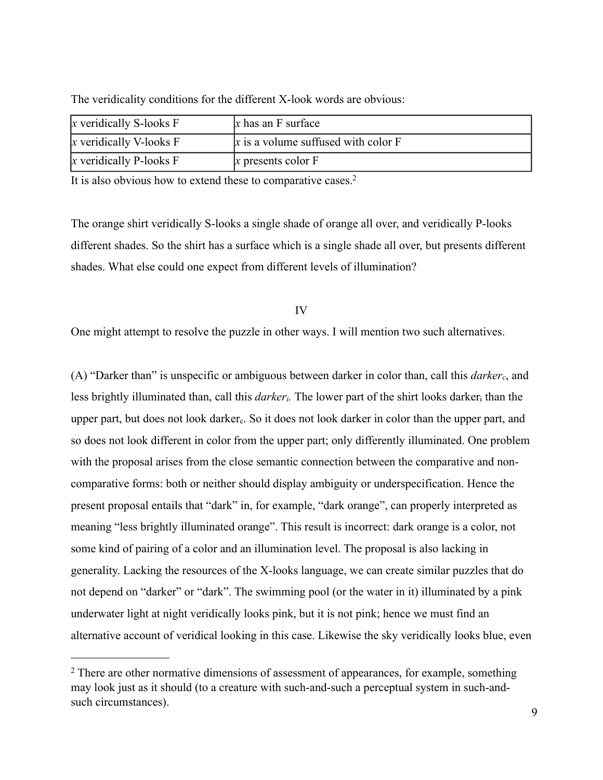| $x$ veridically S-looks $F$  | $x$ has an F surface                  |
|------------------------------|---------------------------------------|
| $x$ veridically V-looks $F$  | $x$ is a volume suffused with color F |
| $ x$ veridically P-looks $F$ | $x$ presents color $F$                |

The veridicality conditions for the different X-look words are obvious:

It is also obvious how to extend these to comparative cases.<sup>2</sup>

The orange shirt veridically S-looks a single shade of orange all over, and veridically P-looks different shades. So the shirt has a surface which is a single shade all over, but presents different shades. What else could one expect from different levels of illumination?

IV

One might attempt to resolve the puzzle in other ways. I will mention two such alternatives.

(A) "Darker than" is unspecific or ambiguous between darker in color than, call this *darkerc*, and less brightly illuminated than, call this *darkeri.* The lower part of the shirt looks darkeri than the upper part, but does not look darker<sub>c</sub>. So it does not look darker in color than the upper part, and so does not look different in color from the upper part; only differently illuminated. One problem with the proposal arises from the close semantic connection between the comparative and noncomparative forms: both or neither should display ambiguity or underspecification. Hence the present proposal entails that "dark" in, for example, "dark orange", can properly interpreted as meaning "less brightly illuminated orange". This result is incorrect: dark orange is a color, not some kind of pairing of a color and an illumination level. The proposal is also lacking in generality. Lacking the resources of the X-looks language, we can create similar puzzles that do not depend on "darker" or "dark". The swimming pool (or the water in it) illuminated by a pink underwater light at night veridically looks pink, but it is not pink; hence we must find an alternative account of veridical looking in this case. Likewise the sky veridically looks blue, even

<span id="page-8-0"></span><sup>&</sup>lt;sup>2</sup> There are other normative dimensions of assessment of appearances, for example, something may look just as it should (to a creature with such-and-such a perceptual system in such-andsuch circumstances).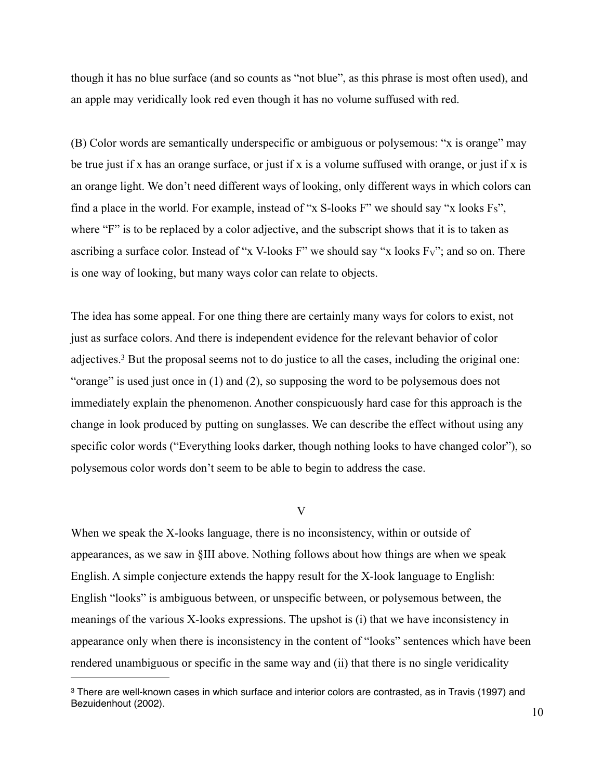though it has no blue surface (and so counts as "not blue", as this phrase is most often used), and an apple may veridically look red even though it has no volume suffused with red.

(B) Color words are semantically underspecific or ambiguous or polysemous: "x is orange" may be true just if x has an orange surface, or just if x is a volume suffused with orange, or just if x is an orange light. We don't need different ways of looking, only different ways in which colors can find a place in the world. For example, instead of "x S-looks F" we should say "x looks  $Fs$ ", where "F" is to be replaced by a color adjective, and the subscript shows that it is to taken as ascribing a surface color. Instead of "x V-looks F" we should say "x looks FV"; and so on. There is one way of looking, but many ways color can relate to objects.

The idea has some appeal. For one thing there are certainly many ways for colors to exist, not just as surface colors. And there is independent evidence for the relevant behavior of color adjectives.[3](#page-9-0) But the proposal seems not to do justice to all the cases, including the original one: "orange" is used just once in (1) and (2), so supposing the word to be polysemous does not immediately explain the phenomenon. Another conspicuously hard case for this approach is the change in look produced by putting on sunglasses. We can describe the effect without using any specific color words ("Everything looks darker, though nothing looks to have changed color"), so polysemous color words don't seem to be able to begin to address the case.

V

When we speak the X-looks language, there is no inconsistency, within or outside of appearances, as we saw in §III above. Nothing follows about how things are when we speak English. A simple conjecture extends the happy result for the X-look language to English: English "looks" is ambiguous between, or unspecific between, or polysemous between, the meanings of the various X-looks expressions. The upshot is (i) that we have inconsistency in appearance only when there is inconsistency in the content of "looks" sentences which have been rendered unambiguous or specific in the same way and (ii) that there is no single veridicality

<span id="page-9-0"></span><sup>3</sup> There are well-known cases in which surface and interior colors are contrasted, as in Travis (1997) and Bezuidenhout (2002).